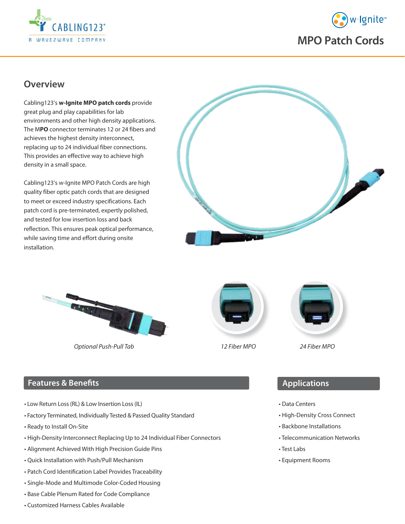



## **Overview**

Cabling123's **w-Ignite MPO patch cords** provide great plug and play capabilities for lab environments and other high density applications. The M**PO** connector terminates 12 or 24 fibers and achieves the highest density interconnect, replacing up to 24 individual fiber connections. This provides an effective way to achieve high density in a small space.

Cabling123's w-Ignite MPO Patch Cords are high quality fiber optic patch cords that are designed to meet or exceed industry specifications. Each patch cord is pre-terminated, expertly polished, and tested for low insertion loss and back reflection. This ensures peak optical performance, while saving time and effort during onsite installation.





*Optional Push-Pull Tab 12 Fiber M*PO *24 Fiber M*PO





### **Features & Benefits**

- Low Return Loss (RL) & Low Insertion Loss (IL)
- Factory Terminated, Individually Tested & Passed Quality Standard
- Ready to Install On-Site
- High-Density Interconnect Replacing Up to 24 Individual Fiber Connectors
- Alignment Achieved With High Precision Guide Pins
- Quick Installation with Push/Pull Mechanism
- Patch Cord Identification Label Provides Traceability
- Single-Mode and Multimode Color-Coded Housing
- Base Cable Plenum Rated for Code Compliance
- Customized Harness Cables Available

#### **Applications**

- Data Centers
- High-Density Cross Connect
- Backbone Installations
- Telecommunication Networks
- Test Labs
- Equipment Rooms